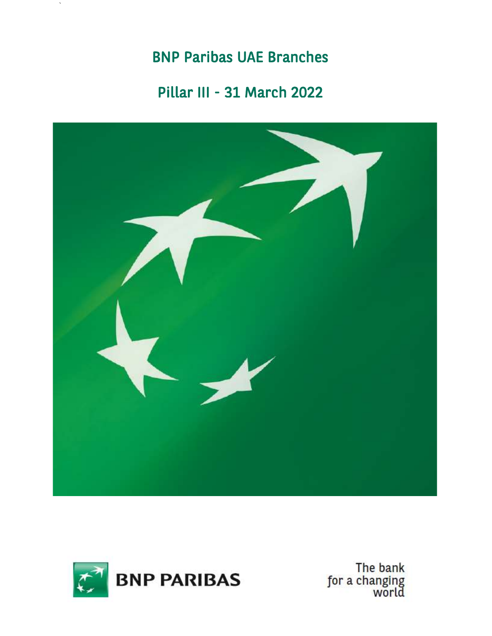# BNP Paribas UAE Branches

`

## Pillar III - 31 March 2022





The bank<br>for a changing<br>world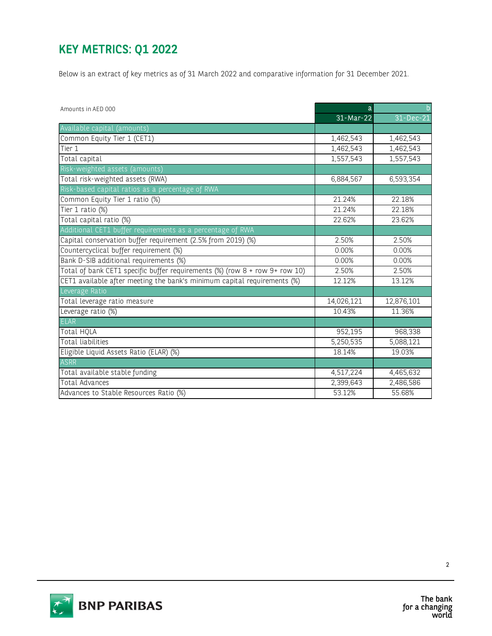## KEY METRICS: Q1 2022

|                                                                             |            | Below is an extract of key metrics as of 31 March 2022 and comparative information for 31 December 2021. |
|-----------------------------------------------------------------------------|------------|----------------------------------------------------------------------------------------------------------|
| Amounts in AED 000                                                          |            |                                                                                                          |
|                                                                             | 31-Mar-22  | 31-Dec-21                                                                                                |
| Available capital (amounts)                                                 |            |                                                                                                          |
| Common Equity Tier 1 (CET1)                                                 | 1,462,543  | 1,462,543                                                                                                |
| Tier 1                                                                      | 1,462,543  | 1,462,543                                                                                                |
| Total capital                                                               | 1,557,543  | 1,557,543                                                                                                |
| Risk-weighted assets (amounts)                                              |            |                                                                                                          |
| Total risk-weighted assets (RWA)                                            | 6,884,567  | 6,593,354                                                                                                |
| Risk-based capital ratios as a percentage of RWA                            |            |                                                                                                          |
| Common Equity Tier 1 ratio (%)                                              | 21.24%     | 22.18%                                                                                                   |
| Tier 1 ratio (%)                                                            | 21.24%     | 22.18%                                                                                                   |
| Total capital ratio (%)                                                     | 22.62%     | 23.62%                                                                                                   |
| Additional CET1 buffer requirements as a percentage of RWA                  |            |                                                                                                          |
| Capital conservation buffer requirement (2.5% from 2019) (%)                | 2.50%      | 2.50%                                                                                                    |
| Countercyclical buffer requirement (%)                                      | 0.00%      | 0.00%                                                                                                    |
| Bank D-SIB additional requirements (%)                                      | 0.00%      | 0.00%                                                                                                    |
| Total of bank CET1 specific buffer requirements (%) (row 8 + row 9+ row 10) | 2.50%      | 2.50%                                                                                                    |
| CET1 available after meeting the bank's minimum capital requirements (%)    | 12.12%     | 13.12%                                                                                                   |
| Leverage Ratio                                                              |            |                                                                                                          |
| Total leverage ratio measure                                                | 14,026,121 | 12,876,101                                                                                               |
| Leverage ratio (%)                                                          | 10.43%     | 11.36%                                                                                                   |
| <b>ELAR</b>                                                                 |            |                                                                                                          |
| <b>Total HQLA</b>                                                           | 952,195    | 968,338                                                                                                  |
| <b>Total liabilities</b>                                                    | 5,250,535  | 5,088,121                                                                                                |
| Eligible Liquid Assets Ratio (ELAR) (%)                                     | 18.14%     | 19.03%                                                                                                   |
| <b>ASRR</b>                                                                 |            |                                                                                                          |
| Total available stable funding                                              | 4,517,224  | 4,465,632                                                                                                |
| Total Advances                                                              | 2,399,643  | 2,486,586                                                                                                |
| Advances to Stable Resources Ratio (%)                                      | 53.12%     | 55.68%                                                                                                   |

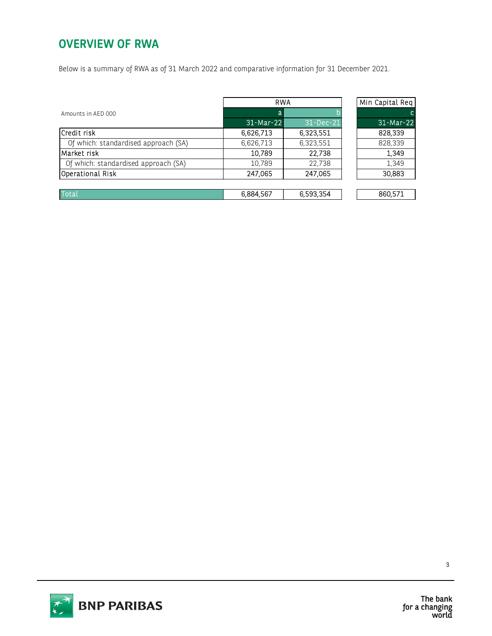#### OVERVIEW OF RWA

| Below is a summary of RWA as of 31 March 2022 and comparative information for 31 December 2021. |            |           |                 |  |
|-------------------------------------------------------------------------------------------------|------------|-----------|-----------------|--|
|                                                                                                 |            |           |                 |  |
|                                                                                                 | <b>RWA</b> |           | Min Capital Req |  |
| Amounts in AED 000                                                                              | a          |           |                 |  |
|                                                                                                 | 31-Mar-22  | 31-Dec-21 | 31-Mar-22       |  |
| Credit risk                                                                                     | 6,626,713  | 6,323,551 | 828,339         |  |
| Of which: standardised approach (SA)                                                            | 6,626,713  | 6,323,551 | 828,339         |  |
| Market risk                                                                                     | 10,789     | 22,738    | 1,349           |  |
| Of which: standardised approach (SA)                                                            | 10,789     | 22,738    | 1,349           |  |
| Operational Risk                                                                                | 247,065    | 247,065   | 30,883          |  |
|                                                                                                 |            |           |                 |  |
| <b>Total</b>                                                                                    | 6,884,567  | 6,593,354 | 860,571         |  |





The bank<br>for a changing<br>world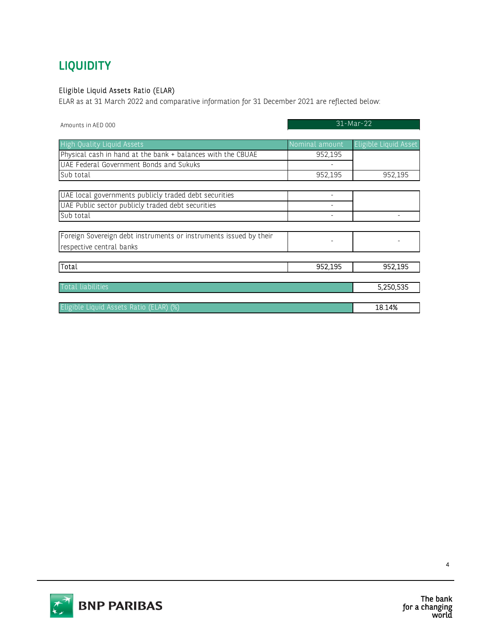### **LIQUIDITY**

#### Eligible Liquid Assets Ratio (ELAR)

| <b>LIQUIDITY</b>                                                                                                                      |                          |                       |  |
|---------------------------------------------------------------------------------------------------------------------------------------|--------------------------|-----------------------|--|
| Eligible Liquid Assets Ratio (ELAR)<br>ELAR as at 31 March 2022 and comparative information for 31 December 2021 are reflected below: |                          |                       |  |
| Amounts in AED 000                                                                                                                    | 31-Mar-22                |                       |  |
| <b>High Quality Liquid Assets</b>                                                                                                     | Nominal amount           | Eligible Liquid Asset |  |
| Physical cash in hand at the bank + balances with the CBUAE                                                                           | 952,195                  |                       |  |
| UAE Federal Government Bonds and Sukuks                                                                                               |                          |                       |  |
| Sub total                                                                                                                             | 952,195                  | 952,195               |  |
| UAE local governments publicly traded debt securities                                                                                 | $\overline{\phantom{a}}$ |                       |  |
| UAE Public sector publicly traded debt securities                                                                                     |                          |                       |  |
| Sub total                                                                                                                             |                          |                       |  |
|                                                                                                                                       |                          |                       |  |
| Foreign Sovereign debt instruments or instruments issued by their<br>respective central banks                                         |                          |                       |  |
|                                                                                                                                       |                          |                       |  |
| Total                                                                                                                                 | 952,195                  | 952,195               |  |
| Total liabilities                                                                                                                     |                          | 5,250,535             |  |
|                                                                                                                                       |                          |                       |  |



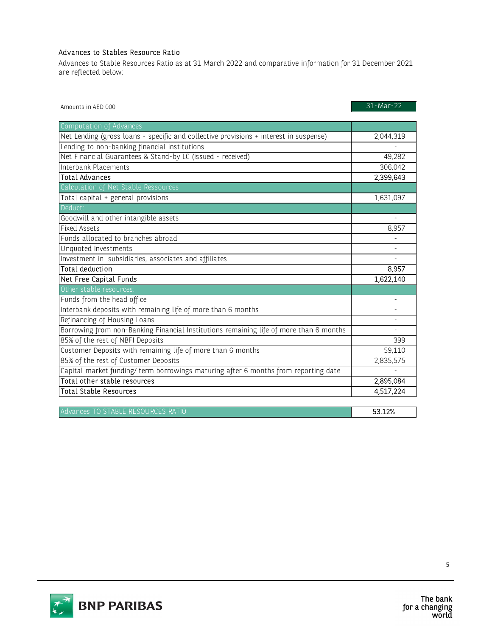#### Advances to Stables Resource Ratio

| Advances to Stables Resource Ratio                                                                      |                    |  |
|---------------------------------------------------------------------------------------------------------|--------------------|--|
| Advances to Stable Resources Ratio as at 31 March 2022 and comparative information for 31 December 2021 |                    |  |
| are reflected below:                                                                                    |                    |  |
|                                                                                                         |                    |  |
|                                                                                                         | 31-Mar-22          |  |
| Amounts in AED 000                                                                                      |                    |  |
| Computation of Advances                                                                                 |                    |  |
| Net Lending (gross loans - specific and collective provisions + interest in suspense)                   | 2,044,319          |  |
| Lending to non-banking financial institutions                                                           |                    |  |
| Net Financial Guarantees & Stand-by LC (issued - received)                                              | 49,282             |  |
| Interbank Placements                                                                                    | 306,042            |  |
| <b>Total Advances</b>                                                                                   | 2,399,643          |  |
| Calculation of Net Stable Ressources                                                                    |                    |  |
| Total capital + general provisions                                                                      | 1,631,097          |  |
| Deduct:                                                                                                 |                    |  |
| Goodwill and other intangible assets                                                                    |                    |  |
| <b>Fixed Assets</b>                                                                                     | $\overline{8,957}$ |  |
| Funds allocated to branches abroad                                                                      |                    |  |
| Unquoted Investments                                                                                    |                    |  |
| Investment in subsidiaries, associates and affiliates                                                   |                    |  |
| <b>Total deduction</b>                                                                                  | 8,957              |  |
| Net Free Capital Funds                                                                                  | 1,622,140          |  |
| Other stable resources:                                                                                 |                    |  |
| Funds from the head office                                                                              |                    |  |
| Interbank deposits with remaining life of more than 6 months                                            |                    |  |
| Refinancing of Housing Loans                                                                            |                    |  |
| Borrowing from non-Banking Financial Institutions remaining life of more than 6 months                  |                    |  |
| 85% of the rest of NBFI Deposits                                                                        | 399                |  |
| Customer Deposits with remaining life of more than 6 months                                             | 59,110             |  |
| 85% of the rest of Customer Deposits                                                                    | 2,835,575          |  |
| Capital market funding/ term borrowings maturing after 6 months from reporting date                     |                    |  |
| Total other stable resources                                                                            | 2,895,084          |  |
| <b>Total Stable Resources</b>                                                                           | 4,517,224          |  |
|                                                                                                         |                    |  |
| Advances TO STABLE RESOURCES RATIO                                                                      | 53.12%             |  |



The bank for a changing<br>world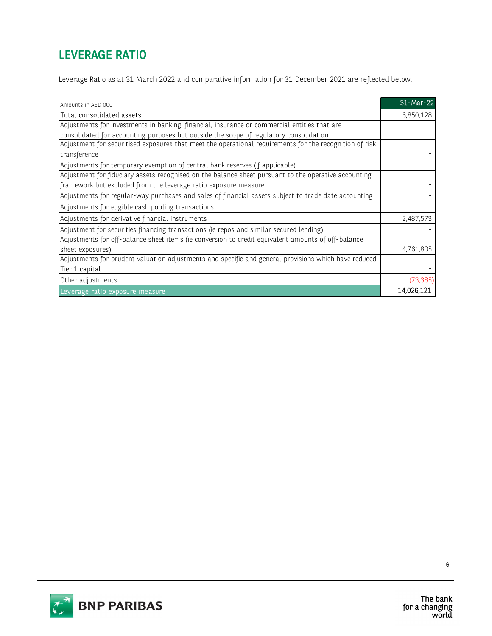## LEVERAGE RATIO

Leverage Ratio as at 31 March 2022 and comparative information for 31 December 2021 are reflected below:

| Leverage Ratio as at 31 March 2022 and comparative information for 31 December 2021 are reflected below: |            |
|----------------------------------------------------------------------------------------------------------|------------|
| Amounts in AED 000                                                                                       | 31-Mar-22  |
| Total consolidated assets                                                                                | 6,850,128  |
| Adjustments for investments in banking, financial, insurance or commercial entities that are             |            |
| consolidated for accounting purposes but outside the scope of regulatory consolidation                   |            |
| Adjustment for securitised exposures that meet the operational requirements for the recognition of risk  |            |
| transference                                                                                             |            |
| Adjustments for temporary exemption of central bank reserves (if applicable)                             |            |
| Adjustment for fiduciary assets recognised on the balance sheet pursuant to the operative accounting     |            |
| framework but excluded from the leverage ratio exposure measure                                          |            |
| Adjustments for regular-way purchases and sales of financial assets subject to trade date accounting     |            |
| Adjustments for eligible cash pooling transactions                                                       |            |
| Adjustments for derivative financial instruments                                                         | 2,487,573  |
| Adjustment for securities financing transactions (ie repos and similar secured lending)                  |            |
| Adjustments for off-balance sheet items (ie conversion to credit equivalent amounts of off-balance       |            |
| sheet exposures)                                                                                         | 4,761,805  |
| Adjustments for prudent valuation adjustments and specific and general provisions which have reduced     |            |
| Tier 1 capital                                                                                           |            |
| Other adjustments                                                                                        | (73, 385)  |
| Leverage ratio exposure measure                                                                          | 14,026,121 |